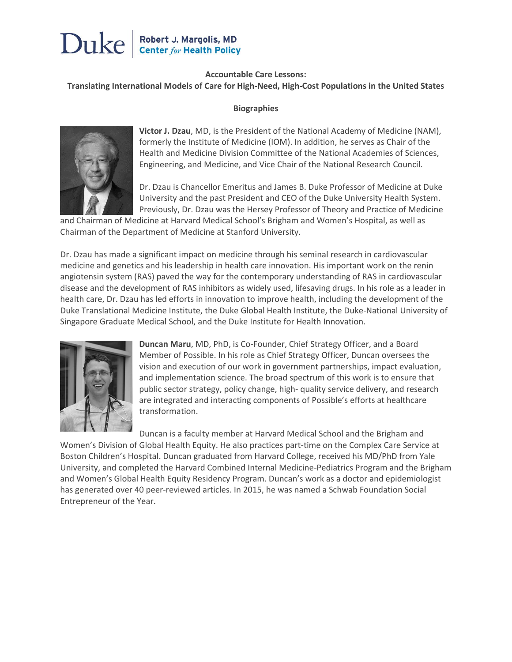# Robert J. Margolis, MD<br>Center for Health Policy Duke

#### **Accountable Care Lessons:**

#### **Translating International Models of Care for High-Need, High-Cost Populations in the United States**

#### **Biographies**



**Victor J. Dzau**, MD, is the President of the National Academy of Medicine (NAM), formerly the Institute of Medicine (IOM). In addition, he serves as Chair of the Health and Medicine Division Committee of the National Academies of Sciences, Engineering, and Medicine, and Vice Chair of the National Research Council.

Dr. Dzau is Chancellor Emeritus and James B. Duke Professor of Medicine at Duke University and the past President and CEO of the Duke University Health System. Previously, Dr. Dzau was the Hersey Professor of Theory and Practice of Medicine

and Chairman of Medicine at Harvard Medical School's Brigham and Women's Hospital, as well as Chairman of the Department of Medicine at Stanford University.

Dr. Dzau has made a significant impact on medicine through his seminal research in cardiovascular medicine and genetics and his leadership in health care innovation. His important work on the renin angiotensin system (RAS) paved the way for the contemporary understanding of RAS in cardiovascular disease and the development of RAS inhibitors as widely used, lifesaving drugs. In his role as a leader in health care, Dr. Dzau has led efforts in innovation to improve health, including the development of the Duke Translational Medicine Institute, the Duke Global Health Institute, the Duke-National University of Singapore Graduate Medical School, and the Duke Institute for Health Innovation.



**Duncan Maru**, MD, PhD, is Co-Founder, Chief Strategy Officer, and a Board Member of Possible. In his role as Chief Strategy Officer, Duncan oversees the vision and execution of our work in government partnerships, impact evaluation, and implementation science. The broad spectrum of this work is to ensure that public sector strategy, policy change, high- quality service delivery, and research are integrated and interacting components of Possible's efforts at healthcare transformation.

Duncan is a faculty member at Harvard Medical School and the Brigham and Women's Division of Global Health Equity. He also practices part-time on the Complex Care Service at Boston Children's Hospital. Duncan graduated from Harvard College, received his MD/PhD from Yale University, and completed the Harvard Combined Internal Medicine-Pediatrics Program and the Brigham and Women's Global Health Equity Residency Program. Duncan's work as a doctor and epidemiologist has generated over 40 peer-reviewed articles. In 2015, he was named a Schwab Foundation Social Entrepreneur of the Year.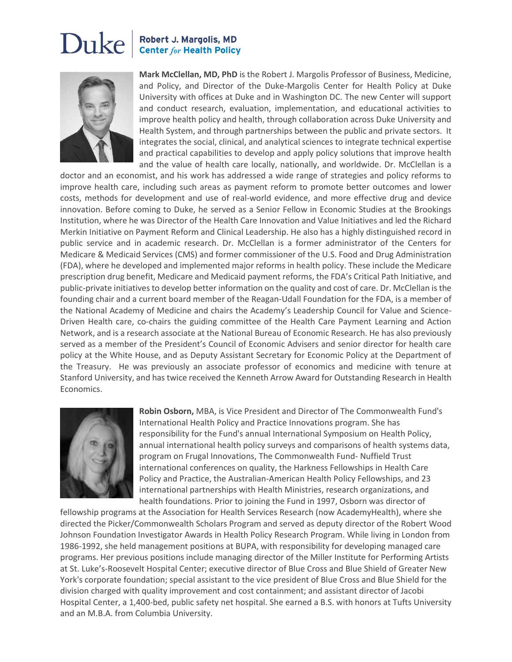## Duke Robert J. Margolis, MD **Center for Health Policy**



**Mark McClellan, MD, PhD** is the Robert J. Margolis Professor of Business, Medicine, and Policy, and Director of the Duke-Margolis Center for Health Policy at Duke University with offices at Duke and in Washington DC. The new Center will support and conduct research, evaluation, implementation, and educational activities to improve health policy and health, through collaboration across Duke University and Health System, and through partnerships between the public and private sectors. It integrates the social, clinical, and analytical sciences to integrate technical expertise and practical capabilities to develop and apply policy solutions that improve health and the value of health care locally, nationally, and worldwide. Dr. McClellan is a

doctor and an economist, and his work has addressed a wide range of strategies and policy reforms to improve health care, including such areas as payment reform to promote better outcomes and lower costs, methods for development and use of real-world evidence, and more effective drug and device innovation. Before coming to Duke, he served as a Senior Fellow in Economic Studies at the Brookings Institution, where he was Director of the Health Care Innovation and Value Initiatives and led the Richard Merkin Initiative on Payment Reform and Clinical Leadership. He also has a highly distinguished record in public service and in academic research. Dr. McClellan is a former administrator of the Centers for Medicare & Medicaid Services (CMS) and former commissioner of the U.S. Food and Drug Administration (FDA), where he developed and implemented major reforms in health policy. These include the Medicare prescription drug benefit, Medicare and Medicaid payment reforms, the FDA's Critical Path Initiative, and public-private initiatives to develop better information on the quality and cost of care. Dr. McClellan is the founding chair and a current board member of the Reagan-Udall Foundation for the FDA, is a member of the National Academy of Medicine and chairs the Academy's Leadership Council for Value and Science-Driven Health care, co-chairs the guiding committee of the Health Care Payment Learning and Action Network, and is a research associate at the National Bureau of Economic Research. He has also previously served as a member of the President's Council of Economic Advisers and senior director for health care policy at the White House, and as Deputy Assistant Secretary for Economic Policy at the Department of the Treasury. He was previously an associate professor of economics and medicine with tenure at Stanford University, and has twice received the Kenneth Arrow Award for Outstanding Research in Health Economics.



**Robin Osborn,** MBA, is Vice President and Director of The Commonwealth Fund's International Health Policy and Practice Innovations program. She has responsibility for the Fund's annual International Symposium on Health Policy, annual international health policy surveys and comparisons of health systems data, program on Frugal Innovations, The Commonwealth Fund- Nuffield Trust international conferences on quality, the Harkness Fellowships in Health Care Policy and Practice, the Australian-American Health Policy Fellowships, and 23 international partnerships with Health Ministries, research organizations, and health foundations. Prior to joining the Fund in 1997, Osborn was director of

fellowship programs at the Association for Health Services Research (now AcademyHealth), where she directed the Picker/Commonwealth Scholars Program and served as deputy director of the Robert Wood Johnson Foundation Investigator Awards in Health Policy Research Program. While living in London from 1986-1992, she held management positions at BUPA, with responsibility for developing managed care programs. Her previous positions include managing director of the Miller Institute for Performing Artists at St. Luke's-Roosevelt Hospital Center; executive director of Blue Cross and Blue Shield of Greater New York's corporate foundation; special assistant to the vice president of Blue Cross and Blue Shield for the division charged with quality improvement and cost containment; and assistant director of Jacobi Hospital Center, a 1,400-bed, public safety net hospital. She earned a B.S. with honors at Tufts University and an M.B.A. from Columbia University.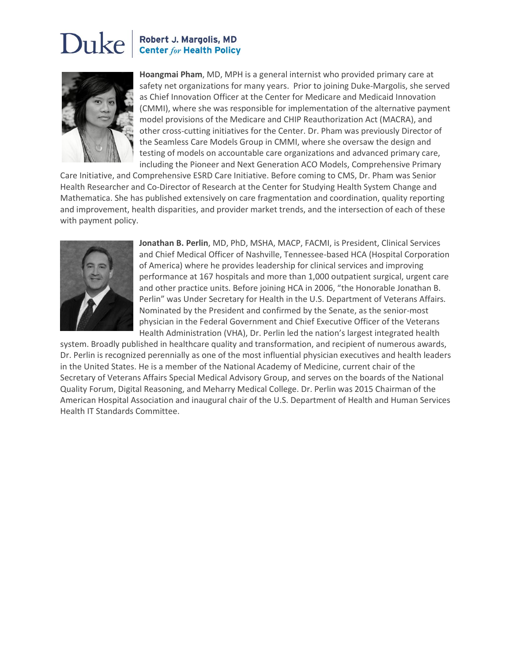## Duke Robert J. Margolis, MD **Center for Health Policy**



**Hoangmai Pham**, MD, MPH is a general internist who provided primary care at safety net organizations for many years. Prior to joining Duke-Margolis, she served as Chief Innovation Officer at the Center for Medicare and Medicaid Innovation (CMMI), where she was responsible for implementation of the alternative payment model provisions of the Medicare and CHIP Reauthorization Act (MACRA), and other cross-cutting initiatives for the Center. Dr. Pham was previously Director of the Seamless Care Models Group in CMMI, where she oversaw the design and testing of models on accountable care organizations and advanced primary care, including the Pioneer and Next Generation ACO Models, Comprehensive Primary

Care Initiative, and Comprehensive ESRD Care Initiative. Before coming to CMS, Dr. Pham was Senior Health Researcher and Co-Director of Research at the Center for Studying Health System Change and Mathematica. She has published extensively on care fragmentation and coordination, quality reporting and improvement, health disparities, and provider market trends, and the intersection of each of these with payment policy.



**Jonathan B. Perlin**, MD, PhD, MSHA, MACP, FACMI, is President, Clinical Services and Chief Medical Officer of Nashville, Tennessee-based HCA (Hospital Corporation of America) where he provides leadership for clinical services and improving performance at 167 hospitals and more than 1,000 outpatient surgical, urgent care and other practice units. Before joining HCA in 2006, "the Honorable Jonathan B. Perlin" was Under Secretary for Health in the U.S. Department of Veterans Affairs. Nominated by the President and confirmed by the Senate, as the senior-most physician in the Federal Government and Chief Executive Officer of the Veterans Health Administration (VHA), Dr. Perlin led the nation's largest integrated health

system. Broadly published in healthcare quality and transformation, and recipient of numerous awards, Dr. Perlin is recognized perennially as one of the most influential physician executives and health leaders in the United States. He is a member of the National Academy of Medicine, current chair of the Secretary of Veterans Affairs Special Medical Advisory Group, and serves on the boards of the National Quality Forum, Digital Reasoning, and Meharry Medical College. Dr. Perlin was 2015 Chairman of the American Hospital Association and inaugural chair of the U.S. Department of Health and Human Services Health IT Standards Committee.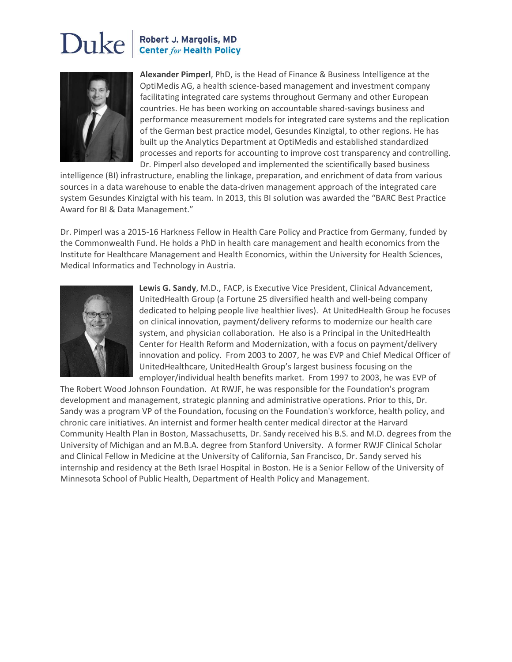## Duke Robert J. Margolis, MD **Center for Health Policy**



**Alexander Pimperl**, PhD, is the Head of Finance & Business Intelligence at the OptiMedis AG, a health science-based management and investment company facilitating integrated care systems throughout Germany and other European countries. He has been working on accountable shared-savings business and performance measurement models for integrated care systems and the replication of the German best practice model, Gesundes Kinzigtal, to other regions. He has built up the Analytics Department at OptiMedis and established standardized processes and reports for accounting to improve cost transparency and controlling. Dr. Pimperl also developed and implemented the scientifically based business

intelligence (BI) infrastructure, enabling the linkage, preparation, and enrichment of data from various sources in a data warehouse to enable the data-driven management approach of the integrated care system Gesundes Kinzigtal with his team. In 2013, this BI solution was awarded the "BARC Best Practice Award for BI & Data Management."

Dr. Pimperl was a 2015-16 Harkness Fellow in Health Care Policy and Practice from Germany, funded by the Commonwealth Fund. He holds a PhD in health care management and health economics from the Institute for Healthcare Management and Health Economics, within the University for Health Sciences, Medical Informatics and Technology in Austria.



**Lewis G. Sandy**, M.D., FACP, is Executive Vice President, Clinical Advancement, UnitedHealth Group (a Fortune 25 diversified health and well-being company dedicated to helping people live healthier lives). At UnitedHealth Group he focuses on clinical innovation, payment/delivery reforms to modernize our health care system, and physician collaboration. He also is a Principal in the UnitedHealth Center for Health Reform and Modernization, with a focus on payment/delivery innovation and policy. From 2003 to 2007, he was EVP and Chief Medical Officer of UnitedHealthcare, UnitedHealth Group's largest business focusing on the employer/individual health benefits market. From 1997 to 2003, he was EVP of

The Robert Wood Johnson Foundation. At RWJF, he was responsible for the Foundation's program development and management, strategic planning and administrative operations. Prior to this, Dr. Sandy was a program VP of the Foundation, focusing on the Foundation's workforce, health policy, and chronic care initiatives. An internist and former health center medical director at the Harvard Community Health Plan in Boston, Massachusetts, Dr. Sandy received his B.S. and M.D. degrees from the University of Michigan and an M.B.A. degree from Stanford University. A former RWJF Clinical Scholar and Clinical Fellow in Medicine at the University of California, San Francisco, Dr. Sandy served his internship and residency at the Beth Israel Hospital in Boston. He is a Senior Fellow of the University of Minnesota School of Public Health, Department of Health Policy and Management.